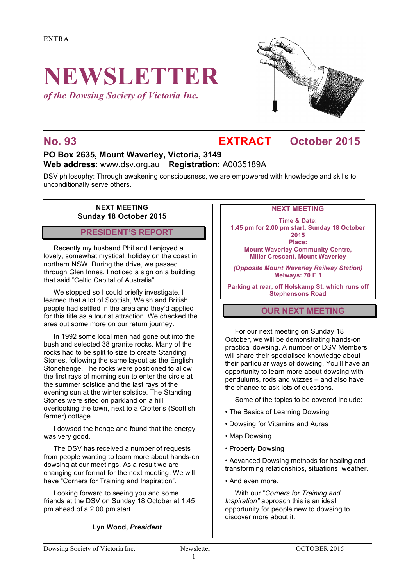# **NEWSLETTER**

*of the Dowsing Society of Victoria Inc.*



### **No. 93 EXTRACT October 2015**

#### **PO Box 2635, Mount Waverley, Victoria, 3149 Web address**: www.dsv.org.au **Registration:** A0035189A

DSV philosophy: Through awakening consciousness, we are empowered with knowledge and skills to unconditionally serve others.

#### **NEXT MEETING Sunday 18 October 2015**

#### **PRESIDENT'S REPORT**

Recently my husband Phil and I enjoyed a lovely, somewhat mystical, holiday on the coast in northern NSW. During the drive, we passed through Glen Innes. I noticed a sign on a building that said "Celtic Capital of Australia".

We stopped so I could briefly investigate. I learned that a lot of Scottish, Welsh and British people had settled in the area and they'd applied for this title as a tourist attraction. We checked the area out some more on our return journey.

In 1992 some local men had gone out into the bush and selected 38 granite rocks. Many of the rocks had to be split to size to create Standing Stones, following the same layout as the English Stonehenge. The rocks were positioned to allow the first rays of morning sun to enter the circle at the summer solstice and the last rays of the evening sun at the winter solstice. The Standing Stones were sited on parkland on a hill overlooking the town, next to a Crofter's (Scottish farmer) cottage.

I dowsed the henge and found that the energy was very good.

The DSV has received a number of requests from people wanting to learn more about hands-on dowsing at our meetings. As a result we are changing our format for the next meeting. We will have "Corners for Training and Inspiration".

Looking forward to seeing you and some friends at the DSV on Sunday 18 October at 1.45 pm ahead of a 2.00 pm start.

#### **Lyn Wood,** *President*

#### **NEXT MEETING**

**Time & Date: 1.45 pm for 2.00 pm start, Sunday 18 October 2015 Place: Mount Waverley Community Centre, Miller Crescent, Mount Waverley**

*(Opposite Mount Waverley Railway Station)* **Melways: 70 E 1**

**Parking at rear, off Holskamp St. which runs off Stephensons Road**

#### **OUR NEXT MEETING**

For our next meeting on Sunday 18 October, we will be demonstrating hands-on practical dowsing. A number of DSV Members will share their specialised knowledge about their particular ways of dowsing. You'll have an opportunity to learn more about dowsing with pendulums, rods and wizzes – and also have the chance to ask lots of questions.

Some of the topics to be covered include:

- The Basics of Learning Dowsing
- Dowsing for Vitamins and Auras
- Map Dowsing
- Property Dowsing

• Advanced Dowsing methods for healing and transforming relationships, situations, weather.

• And even more.

With our "*Corners for Training and Inspiration"* approach this is an ideal opportunity for people new to dowsing to discover more about it.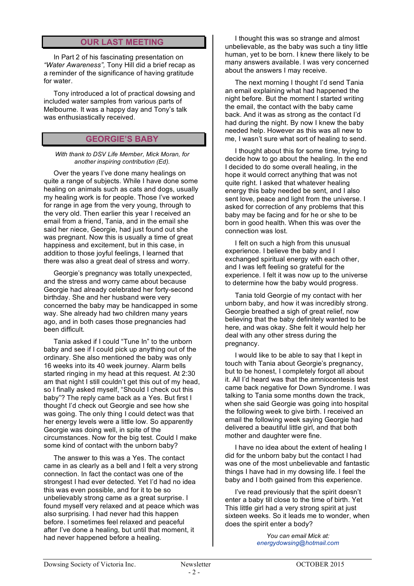#### **OUR LAST MEETING**

In Part 2 of his fascinating presentation on *"Water Awareness",* Tony Hill did a brief recap as a reminder of the significance of having gratitude for water.

Tony introduced a lot of practical dowsing and included water samples from various parts of Melbourne. It was a happy day and Tony's talk was enthusiastically received.

#### **GEORGIE'S BABY**

*With thank to DSV Life Member, Mick Moran, for another inspiring contribution (Ed).*

Over the years I've done many healings on quite a range of subjects. While I have done some healing on animals such as cats and dogs, usually my healing work is for people. Those I've worked for range in age from the very young, through to the very old. Then earlier this year I received an email from a friend, Tania, and in the email she said her niece, Georgie, had just found out she was pregnant. Now this is usually a time of great happiness and excitement, but in this case, in addition to those joyful feelings, I learned that there was also a great deal of stress and worry.

Georgie's pregnancy was totally unexpected, and the stress and worry came about because Georgie had already celebrated her forty-second birthday. She and her husband were very concerned the baby may be handicapped in some way. She already had two children many years ago, and in both cases those pregnancies had been difficult.

Tania asked if I could "Tune In" to the unborn baby and see if I could pick up anything out of the ordinary. She also mentioned the baby was only 16 weeks into its 40 week journey. Alarm bells started ringing in my head at this request. At 2:30 am that night I still couldn't get this out of my head, so I finally asked myself, "Should I check out this baby"? The reply came back as a Yes. But first I thought I'd check out Georgie and see how she was going. The only thing I could detect was that her energy levels were a little low. So apparently Georgie was doing well, in spite of the circumstances. Now for the big test. Could I make some kind of contact with the unborn baby?

The answer to this was a Yes. The contact came in as clearly as a bell and I felt a very strong connection. In fact the contact was one of the strongest I had ever detected. Yet I'd had no idea this was even possible, and for it to be so unbelievably strong came as a great surprise. I found myself very relaxed and at peace which was also surprising. I had never had this happen before. I sometimes feel relaxed and peaceful after I've done a healing, but until that moment, it had never happened before a healing.

I thought this was so strange and almost unbelievable, as the baby was such a tiny little human, yet to be born. I knew there likely to be many answers available. I was very concerned about the answers I may receive.

The next morning I thought I'd send Tania an email explaining what had happened the night before. But the moment I started writing the email, the contact with the baby came back. And it was as strong as the contact I'd had during the night. By now I knew the baby needed help. However as this was all new to me, I wasn't sure what sort of healing to send.

I thought about this for some time, trying to decide how to go about the healing. In the end I decided to do some overall healing, in the hope it would correct anything that was not quite right. I asked that whatever healing energy this baby needed be sent, and I also sent love, peace and light from the universe. I asked for correction of any problems that this baby may be facing and for he or she to be born in good health. When this was over the connection was lost.

I felt on such a high from this unusual experience. I believe the baby and I exchanged spiritual energy with each other, and I was left feeling so grateful for the experience. I felt it was now up to the universe to determine how the baby would progress.

Tania told Georgie of my contact with her unborn baby, and how it was incredibly strong. Georgie breathed a sigh of great relief, now believing that the baby definitely wanted to be here, and was okay. She felt it would help her deal with any other stress during the pregnancy.

I would like to be able to say that I kept in touch with Tania about Georgie's pregnancy, but to be honest, I completely forgot all about it. All I'd heard was that the amniocentesis test came back negative for Down Syndrome. I was talking to Tania some months down the track, when she said Georgie was going into hospital the following week to give birth. I received an email the following week saying Georgie had delivered a beautiful little girl, and that both mother and daughter were fine.

I have no idea about the extent of healing I did for the unborn baby but the contact I had was one of the most unbelievable and fantastic things I have had in my dowsing life. I feel the baby and I both gained from this experience.

I've read previously that the spirit doesn't enter a baby till close to the time of birth. Yet This little girl had a very strong spirit at just sixteen weeks. So it leads me to wonder, when does the spirit enter a body?

> *You can email Mick at: energydowsing@hotmail.com*